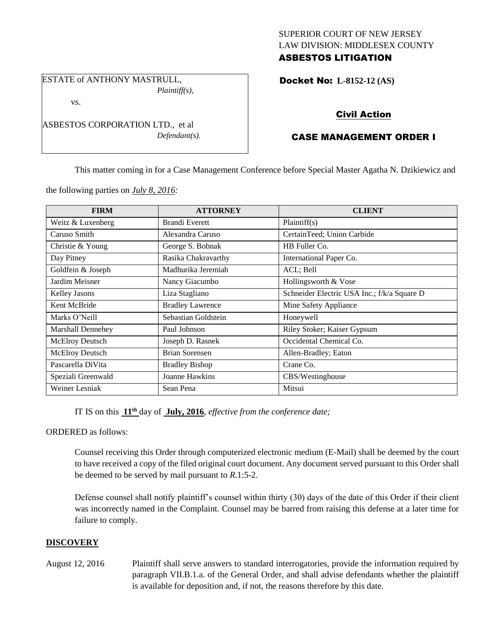# SUPERIOR COURT OF NEW JERSEY LAW DIVISION: MIDDLESEX COUNTY

## ASBESTOS LITIGATION

ESTATE of ANTHONY MASTRULL, *Plaintiff(s),*

vs.

ASBESTOS CORPORATION LTD., et al *Defendant(s).* Docket No: **L-8152-12 (AS)** 

## Civil Action

## CASE MANAGEMENT ORDER I

This matter coming in for a Case Management Conference before Special Master Agatha N. Dzikiewicz and

the following parties on *July 8, 2016:*

| <b>FIRM</b>            | <b>ATTORNEY</b>         | <b>CLIENT</b>                               |
|------------------------|-------------------------|---------------------------------------------|
| Weitz & Luxenberg      | <b>Brandi Everett</b>   | Plaintiff(s)                                |
| Caruso Smith           | Alexandra Caruso        | CertainTeed; Union Carbide                  |
| Christie & Young       | George S. Bobnak        | HB Fuller Co.                               |
| Day Pitney             | Rasika Chakravarthy     | International Paper Co.                     |
| Goldfein & Joseph      | Madhurika Jeremiah      | ACL; Bell                                   |
| Jardim Meisner         | Nancy Giacumbo          | Hollingsworth & Vose                        |
| <b>Kelley Jasons</b>   | Liza Stagliano          | Schneider Electric USA Inc.; f/k/a Square D |
| Kent McBride           | <b>Bradley Lawrence</b> | Mine Safety Appliance                       |
| Marks O'Neill          | Sebastian Goldstein     | Honeywell                                   |
| Marshall Dennehey      | Paul Johnson            | Riley Stoker; Kaiser Gypsum                 |
| <b>McElroy Deutsch</b> | Joseph D. Rasnek        | Occidental Chemical Co.                     |
| <b>McElroy Deutsch</b> | <b>Brian Sorensen</b>   | Allen-Bradley; Eaton                        |
| Pascarella DiVita      | <b>Bradley Bishop</b>   | Crane Co.                                   |
| Speziali Greenwald     | Joanne Hawkins          | CBS/Westinghouse                            |
| Weiner Lesniak         | Sean Pena               | Mitsui                                      |

IT IS on this **11th** day of **July, 2016**, *effective from the conference date;*

ORDERED as follows:

Counsel receiving this Order through computerized electronic medium (E-Mail) shall be deemed by the court to have received a copy of the filed original court document. Any document served pursuant to this Order shall be deemed to be served by mail pursuant to *R*.1:5-2.

Defense counsel shall notify plaintiff's counsel within thirty (30) days of the date of this Order if their client was incorrectly named in the Complaint. Counsel may be barred from raising this defense at a later time for failure to comply.

### **DISCOVERY**

August 12, 2016 Plaintiff shall serve answers to standard interrogatories, provide the information required by paragraph VII.B.1.a. of the General Order, and shall advise defendants whether the plaintiff is available for deposition and, if not, the reasons therefore by this date.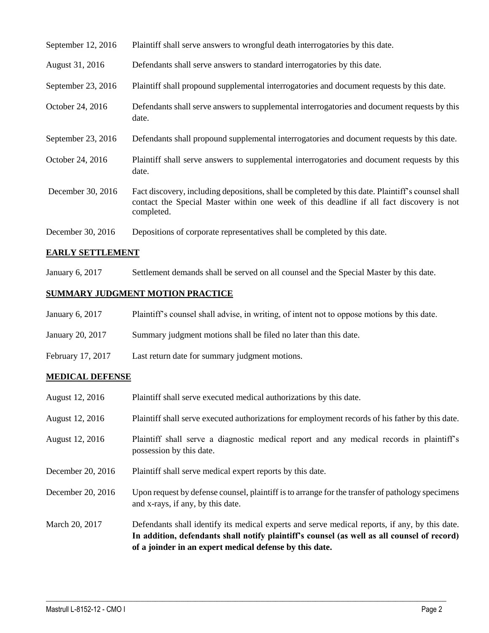| September 12, 2016 | Plaintiff shall serve answers to wrongful death interrogatories by this date.                                                                                                                               |
|--------------------|-------------------------------------------------------------------------------------------------------------------------------------------------------------------------------------------------------------|
| August 31, 2016    | Defendants shall serve answers to standard interrogatories by this date.                                                                                                                                    |
| September 23, 2016 | Plaintiff shall propound supplemental interrogatories and document requests by this date.                                                                                                                   |
| October 24, 2016   | Defendants shall serve answers to supplemental interrogatories and document requests by this<br>date.                                                                                                       |
| September 23, 2016 | Defendants shall propound supplemental interrogatories and document requests by this date.                                                                                                                  |
| October 24, 2016   | Plaintiff shall serve answers to supplemental interrogatories and document requests by this<br>date.                                                                                                        |
| December 30, 2016  | Fact discovery, including depositions, shall be completed by this date. Plaintiff's counsel shall<br>contact the Special Master within one week of this deadline if all fact discovery is not<br>completed. |
| December 30, 2016  | Depositions of corporate representatives shall be completed by this date.                                                                                                                                   |

## **EARLY SETTLEMENT**

January 6, 2017 Settlement demands shall be served on all counsel and the Special Master by this date.

# **SUMMARY JUDGMENT MOTION PRACTICE**

| January 6, 2017 | Plaintiff's counsel shall advise, in writing, of intent not to oppose motions by this date. |  |  |
|-----------------|---------------------------------------------------------------------------------------------|--|--|
|                 |                                                                                             |  |  |

- January 20, 2017 Summary judgment motions shall be filed no later than this date.
- February 17, 2017 Last return date for summary judgment motions.

### **MEDICAL DEFENSE**

| August 12, 2016   | Plaintiff shall serve executed medical authorizations by this date.                                                                                                                                                                                      |
|-------------------|----------------------------------------------------------------------------------------------------------------------------------------------------------------------------------------------------------------------------------------------------------|
| August 12, 2016   | Plaintiff shall serve executed authorizations for employment records of his father by this date.                                                                                                                                                         |
| August 12, 2016   | Plaintiff shall serve a diagnostic medical report and any medical records in plaintiff's<br>possession by this date.                                                                                                                                     |
| December 20, 2016 | Plaintiff shall serve medical expert reports by this date.                                                                                                                                                                                               |
| December 20, 2016 | Upon request by defense counsel, plaintiff is to arrange for the transfer of pathology specimens<br>and x-rays, if any, by this date.                                                                                                                    |
| March 20, 2017    | Defendants shall identify its medical experts and serve medical reports, if any, by this date.<br>In addition, defendants shall notify plaintiff's counsel (as well as all counsel of record)<br>of a joinder in an expert medical defense by this date. |

 $\_$  , and the set of the set of the set of the set of the set of the set of the set of the set of the set of the set of the set of the set of the set of the set of the set of the set of the set of the set of the set of th